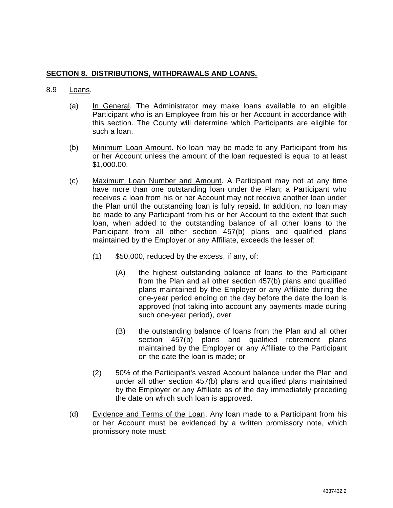## **SECTION 8. DISTRIBUTIONS, WITHDRAWALS AND LOANS.**

## 8.9 Loans.

- (a) In General. The Administrator may make loans available to an eligible Participant who is an Employee from his or her Account in accordance with this section. The County will determine which Participants are eligible for such a loan.
- (b) Minimum Loan Amount. No loan may be made to any Participant from his or her Account unless the amount of the loan requested is equal to at least \$1,000.00.
- (c) Maximum Loan Number and Amount. A Participant may not at any time have more than one outstanding loan under the Plan; a Participant who receives a loan from his or her Account may not receive another loan under the Plan until the outstanding loan is fully repaid. In addition, no loan may be made to any Participant from his or her Account to the extent that such loan, when added to the outstanding balance of all other loans to the Participant from all other section 457(b) plans and qualified plans maintained by the Employer or any Affiliate, exceeds the lesser of:
	- (1) \$50,000, reduced by the excess, if any, of:
		- (A) the highest outstanding balance of loans to the Participant from the Plan and all other section 457(b) plans and qualified plans maintained by the Employer or any Affiliate during the one-year period ending on the day before the date the loan is approved (not taking into account any payments made during such one-year period), over
		- (B) the outstanding balance of loans from the Plan and all other section 457(b) plans and qualified retirement plans maintained by the Employer or any Affiliate to the Participant on the date the loan is made; or
	- (2) 50% of the Participant's vested Account balance under the Plan and under all other section 457(b) plans and qualified plans maintained by the Employer or any Affiliate as of the day immediately preceding the date on which such loan is approved.
- (d) Evidence and Terms of the Loan. Any loan made to a Participant from his or her Account must be evidenced by a written promissory note, which promissory note must: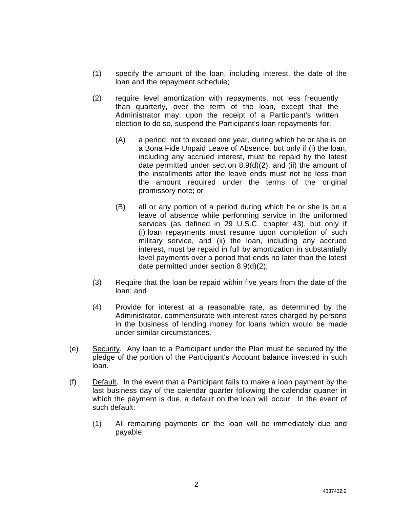- (1) specify the amount of the loan, including interest, the date of the loan and the repayment schedule;
- (2) require level amortization with repayments, not less frequently than quarterly, over the term of the loan, except that the Administrator may, upon the receipt of a Participant's written election to do so, suspend the Participant's loan repayments for:
	- (A) a period, not to exceed one year, during which he or she is on a Bona Fide Unpaid Leave of Absence, but only if (i) the loan, including any accrued interest, must be repaid by the latest date permitted under section 8.9(d)(2), and (ii) the amount of the installments after the leave ends must not be less than the amount required under the terms of the original promissory note; or
	- (B) all or any portion of a period during which he or she is on a leave of absence while performing service in the uniformed services (as defined in 29 U.S.C. chapter 43), but only if (i) loan repayments must resume upon completion of such military service, and (ii) the loan, including any accrued interest, must be repaid in full by amortization in substantially level payments over a period that ends no later than the latest date permitted under section 8.9(d)(2);
- (3) Require that the loan be repaid within five years from the date of the loan; and
- (4) Provide for interest at a reasonable rate, as determined by the Administrator, commensurate with interest rates charged by persons in the business of lending money for loans which would be made under similar circumstances.
- (e) Security. Any loan to a Participant under the Plan must be secured by the pledge of the portion of the Participant's Account balance invested in such loan.
- (f) Default. In the event that a Participant fails to make a loan payment by the last business day of the calendar quarter following the calendar quarter in which the payment is due, a default on the loan will occur. In the event of such default:
	- (1) All remaining payments on the loan will be immediately due and payable;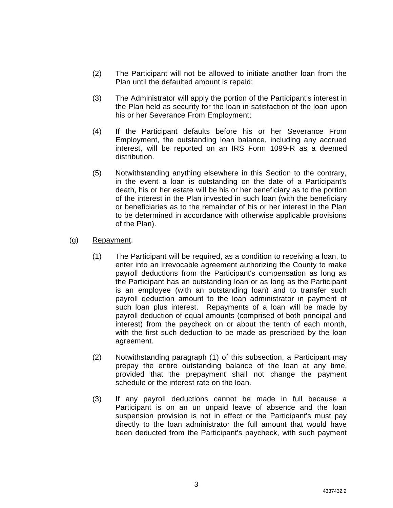- (2) The Participant will not be allowed to initiate another loan from the Plan until the defaulted amount is repaid;
- (3) The Administrator will apply the portion of the Participant's interest in the Plan held as security for the loan in satisfaction of the loan upon his or her Severance From Employment;
- (4) If the Participant defaults before his or her Severance From Employment, the outstanding loan balance, including any accrued interest, will be reported on an IRS Form 1099-R as a deemed distribution.
- (5) Notwithstanding anything elsewhere in this Section to the contrary, in the event a loan is outstanding on the date of a Participant's death, his or her estate will be his or her beneficiary as to the portion of the interest in the Plan invested in such loan (with the beneficiary or beneficiaries as to the remainder of his or her interest in the Plan to be determined in accordance with otherwise applicable provisions of the Plan).
- (g) Repayment.
	- (1) The Participant will be required, as a condition to receiving a loan, to enter into an irrevocable agreement authorizing the County to make payroll deductions from the Participant's compensation as long as the Participant has an outstanding loan or as long as the Participant is an employee (with an outstanding loan) and to transfer such payroll deduction amount to the loan administrator in payment of such loan plus interest. Repayments of a loan will be made by payroll deduction of equal amounts (comprised of both principal and interest) from the paycheck on or about the tenth of each month, with the first such deduction to be made as prescribed by the loan agreement.
	- (2) Notwithstanding paragraph (1) of this subsection, a Participant may prepay the entire outstanding balance of the loan at any time, provided that the prepayment shall not change the payment schedule or the interest rate on the loan.
	- (3) If any payroll deductions cannot be made in full because a Participant is on an un unpaid leave of absence and the loan suspension provision is not in effect or the Participant's must pay directly to the loan administrator the full amount that would have been deducted from the Participant's paycheck, with such payment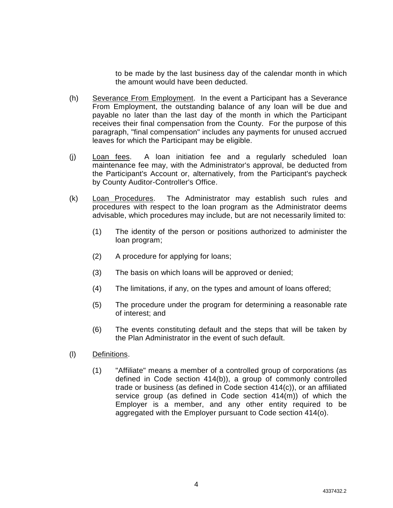to be made by the last business day of the calendar month in which the amount would have been deducted.

- (h) Severance From Employment. In the event a Participant has a Severance From Employment, the outstanding balance of any loan will be due and payable no later than the last day of the month in which the Participant receives their final compensation from the County. For the purpose of this paragraph, "final compensation" includes any payments for unused accrued leaves for which the Participant may be eligible.
- (j) Loan fees. A loan initiation fee and a regularly scheduled loan maintenance fee may, with the Administrator's approval, be deducted from the Participant's Account or, alternatively, from the Participant's paycheck by County Auditor-Controller's Office.
- (k) Loan Procedures. The Administrator may establish such rules and procedures with respect to the loan program as the Administrator deems advisable, which procedures may include, but are not necessarily limited to:
	- (1) The identity of the person or positions authorized to administer the loan program;
	- (2) A procedure for applying for loans;
	- (3) The basis on which loans will be approved or denied;
	- (4) The limitations, if any, on the types and amount of loans offered;
	- (5) The procedure under the program for determining a reasonable rate of interest; and
	- (6) The events constituting default and the steps that will be taken by the Plan Administrator in the event of such default.
- (l) Definitions.
	- (1) "Affiliate" means a member of a controlled group of corporations (as defined in Code section 414(b)), a group of commonly controlled trade or business (as defined in Code section 414(c)), or an affiliated service group (as defined in Code section 414(m)) of which the Employer is a member, and any other entity required to be aggregated with the Employer pursuant to Code section 414(o).